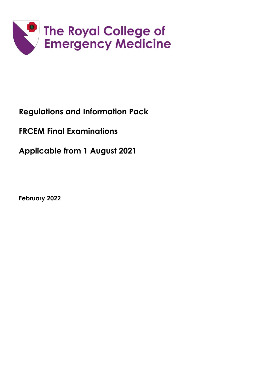

## **Regulations and Information Pack**

# **FRCEM Final Examinations**

**Applicable from 1 August 2021**

**February 2022**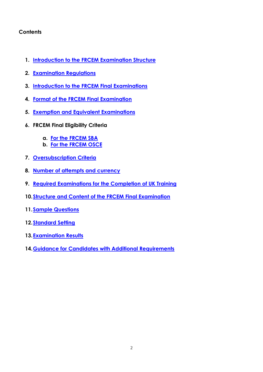## **Contents**

- **1. Introduction to the FRCEM Examination Structure**
- **2. Examination Regulations**
- **3. [Introduction to the FRCEM Final Examinations](#page-4-0)**
- **4. [Format of the FRCEM Final Examination](#page-4-1)**
- **5. Exemption and Equivalent Examinations**
- **6. FRCEM Final Eligibility Criteria**
	- **a. For the FRCEM SBA**
	- **b. For the FRCEM OSCE**
- **7. [Oversubscription Criteria](#page-6-0)**
- **8. [Number of attempts and currency](#page-6-1)**
- **9. [Required Examinations for the Completion of UK Training](#page-7-0)**
- **10[.Structure and Content of the FRCEM Final Examination](#page-8-0)**
- **11.Sample Questions**
- **12[.Standard Setting](#page-11-0)**
- **13[.Examination Results](#page-11-1)**
- **14[.Guidance for Candidates with Additional Requirements](#page-11-2)**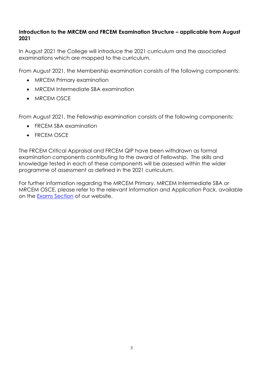## **Introduction to the MRCEM and FRCEM Examination Structure – applicable from August 2021**

In August 2021 the College will introduce the 2021 curriculum and the associated examinations which are mapped to the curriculum.

From August 2021, the Membership examination consists of the following components:

- MRCEM Primary examination
- MRCEM Intermediate SBA examination
- MRCEM OSCE

From August 2021, the Fellowship examination consists of the following components:

- FRCEM SBA examination
- FRCEM OSCE

The FRCEM Critical Appraisal and FRCEM QIP have been withdrawn as formal examination components contributing to the award of Fellowship. The skills and knowledge tested in each of these components will be assessed within the wider programme of assessment as defined in the 2021 curriculum.

For further information regarding the MRCEM Primary, MRCEM Intermediate SBA or MRCEM OSCE, please refer to the relevant Information and Application Pack, available on the [Exams Section](http://www.rcem.ac.uk/Training-Exams/Exams) of our website.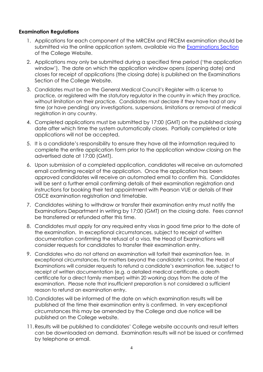#### **Examination Regulations**

- 1. Applications for each component of the MRCEM and FRCEM examination should be submitted via the online application system, available via the [Examinations Section](http://www.rcem.ac.uk/Training-Exams/Exams) of the College Website.
- 2. Applications may only be submitted during a specified time period ('the application window'). The date on which the application window opens (opening date) and closes for receipt of applications (the closing date) is published on the Examinations Section of the College Website.
- 3. Candidates must be on the General Medical Council's Register with a license to practice, or registered with the statutory regulator in the country in which they practice, without limitation on their practice. Candidates must declare if they have had at any time (or have pending) any investigations, suspensions, limitations or removal of medical registration in any country.
- 4. Completed applications must be submitted by 17:00 (GMT) on the published closing date after which time the system automatically closes. Partially completed or late applications will not be accepted.
- 5. It is a candidate's responsibility to ensure they have all the information required to complete the entire application form prior to the application window closing on the advertised date at 17:00 (GMT).
- 6. Upon submission of a completed application, candidates will receive an automated email confirming receipt of the application. Once the application has been approved candidates will receive an automated email to confirm this. Candidates will be sent a further email confirming details of their examination registration and instructions for booking their test appointment with Pearson VUE or details of their OSCE examination registration and timetable.
- 7. Candidates wishing to withdraw or transfer their examination entry must notify the Examinations Department in writing by 17:00 (GMT) on the closing date. Fees cannot be transferred or refunded after this time.
- 8. Candidates must apply for any required entry visas in good time prior to the date of the examination. In exceptional circumstances, subject to receipt of written documentation confirming the refusal of a visa, the Head of Examinations will consider requests for candidates to transfer their examination entry.
- 9. Candidates who do not attend an examination will forfeit their examination fee. In exceptional circumstances, for matters beyond the candidate's control, the Head of Examinations will consider requests to refund a candidate's examination fee, subject to receipt of written documentation (e.g. a detailed medical certificate, a death certificate for a direct family member) within 20 working days from the date of the examination. Please note that insufficient preparation is not considered a sufficient reason to refund an examination entry.
- 10. Candidates will be informed of the date on which examination results will be published at the time their examination entry is confirmed. In very exceptional circumstances this may be amended by the College and due notice will be published on the College website.
- 11.Results will be published to candidates' College website accounts and result letters can be downloaded on demand. Examination results will not be issued or confirmed by telephone or email.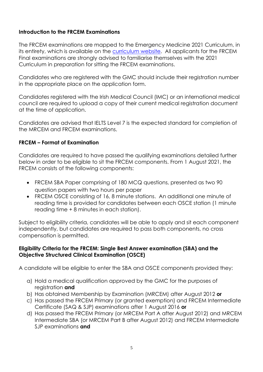## <span id="page-4-0"></span>**Introduction to the FRCEM Examinations**

The FRCEM examinations are mapped to the Emergency Medicine 2021 Curriculum, in its entirety, which is available on the [curriculum](https://rcemcurriculum.co.uk/) website. All applicants for the FRCEM Final examinations are strongly advised to familiarise themselves with the 2021 Curriculum in preparation for sitting the FRCEM examinations.

Candidates who are registered with the GMC should include their registration number in the appropriate place on the application form.

Candidates registered with the Irish Medical Council (IMC) or an international medical council are required to upload a copy of their current medical registration document at the time of application.

Candidates are advised that IELTS Level 7 is the expected standard for completion of the MRCEM and FRCEM examinations.

#### <span id="page-4-1"></span>**FRCEM – Format of Examination**

Candidates are required to have passed the qualifying examinations detailed further below in order to be eligible to sit the FRCEM components. From 1 August 2021, the FRCEM consists of the following components:

- FRCEM SBA Paper comprising of 180 MCQ questions, presented as two 90 question papers with two hours per paper
- FRCEM OSCE consisting of 16, 8 minute stations. An additional one minute of reading time is provided for candidates between each OSCE station (1 minute reading time + 8 minutes in each station).

Subject to eligibility criteria, candidates will be able to apply and sit each component independently, but candidates are required to pass both components, no cross compensation is permitted.

#### **Eligibility Criteria for the FRCEM: Single Best Answer examination (SBA) and the Objective Structured Clinical Examination (OSCE)**

A candidate will be eligible to enter the SBA and OSCE components provided they:

- a) Hold a medical qualification approved by the GMC for the purposes of registration **and**
- b) Has obtained Membership by Examination (MRCEM) after August 2012 **or**
- c) Has passed the FRCEM Primary (or granted exemption) and FRCEM Intermediate Certificate (SAQ & SJP) examinations after 1 August 2016 **or**
- d) Has passed the FRCEM Primary (or MRCEM Part A after August 2012) and MRCEM Intermediate SBA (or MRCEM Part B after August 2012) and FRCEM Intermediate SJP examinations **and**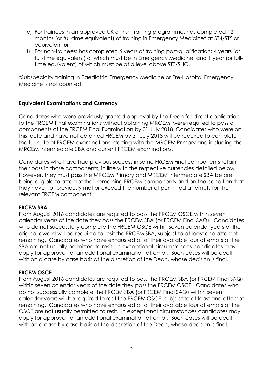- e) For trainees in an approved UK or Irish training programme: has completed 12 months (or full-time equivalent) of training in Emergency Medicine\* at ST4/ST5 or equivalent **or**
- f) For non-trainees: has completed 6 years of training post-qualification; 4 years (or full-time equivalent) of which must be in Emergency Medicine, and 1 year (or fulltime equivalent) of which must be at a level above ST3/SHO.

\*Subspecialty training in Paediatric Emergency Medicine or Pre-Hospital Emergency Medicine is not counted.

### **Equivalent Examinations and Currency**

Candidates who were previously granted approval by the Dean for direct application to the FRCEM Final examinations without obtaining MRCEM, were required to pass all components of the FRCEM Final Examination by 31 July 2018. Candidates who were on this route and have not obtained FRCEM by 31 July 2018 will be required to complete the full suite of FRCEM examinations, starting with the MRCEM Primary and including the MRCEM Intermediate SBA and current FRCEM examinations.

Candidates who have had previous success in some FRCEM Final components retain their pass in those components, in line with the respective currencies detailed below. However, they must pass the MRCEM Primary and MRCEM Intermediate SBA before being eligible to attempt their remaining FRCEM components and on the condition that they have not previously met or exceed the number of permitted attempts for the relevant FRCEM component.

#### **FRCEM SBA**

From August 2016 candidates are required to pass the FRCEM OSCE within seven calendar years of the date they pass the FRCEM SBA (or FRCEM Final SAQ). Candidates who do not successfully complete the FRCEM OSCE within seven calendar years of the original award will be required to resit the FRCEM SBA, subject to at least one attempt remaining. Candidates who have exhausted all of their available four attempts at the SBA are not usually permitted to resit. In exceptional circumstances candidates may apply for approval for an additional examination attempt. Such cases will be dealt with on a case by case basis at the discretion of the Dean, whose decision is final.

#### **FRCEM OSCE**

From August 2016 candidates are required to pass the FRCEM SBA (or FRCEM Final SAQ) within seven calendar years of the date they pass the FRCEM OSCE. Candidates who do not successfully complete the FRCEM SBA (or FRCEM Final SAQ) within seven calendar years will be required to resit the FRCEM OSCE, subject to at least one attempt remaining. Candidates who have exhausted all of their available four attempts at the OSCE are not usually permitted to resit. In exceptional circumstances candidates may apply for approval for an additional examination attempt. Such cases will be dealt with on a case by case basis at the discretion of the Dean, whose decision is final.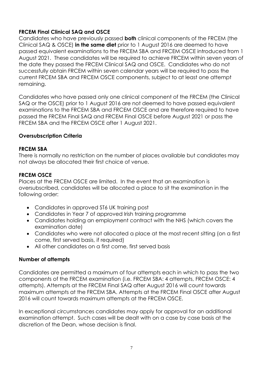## **FRCEM Final Clinical SAQ and OSCE**

Candidates who have previously passed **both** clinical components of the FRCEM (the Clinical SAQ & OSCE) **in the same diet** prior to 1 August 2016 are deemed to have passed equivalent examinations to the FRCEM SBA and FRCEM OSCE introduced from 1 August 2021. These candidates will be required to achieve FRCEM within seven years of the date they passed the FRCEM Clinical SAQ and OSCE. Candidates who do not successfully obtain FRCEM within seven calendar years will be required to pass the current FRCEM SBA and FRCEM OSCE components, subject to at least one attempt remaining.

Candidates who have passed only one clinical component of the FRCEM (the Clinical SAQ or the OSCE) prior to 1 August 2016 are not deemed to have passed equivalent examinations to the FRCEM SBA and FRCEM OSCE and are therefore required to have passed the FRCEM Final SAQ and FRCEM Final OSCE before August 2021 or pass the FRCEM SBA and the FRCEM OSCE after 1 August 2021.

## <span id="page-6-0"></span>**Oversubscription Criteria**

### **FRCEM SBA**

There is normally no restriction on the number of places available but candidates may not always be allocated their first choice of venue.

### **FRCEM OSCE**

Places at the FRCEM OSCE are limited. In the event that an examination is oversubscribed, candidates will be allocated a place to sit the examination in the following order:

- Candidates in approved ST6 UK training post
- Candidates in Year 7 of approved Irish training programme
- Candidates holding an employment contract with the NHS (which covers the examination date)
- Candidates who were not allocated a place at the most recent sitting (on a first come, first served basis, if required)
- All other candidates on a first come, first served basis

## <span id="page-6-1"></span>**Number of attempts**

Candidates are permitted a maximum of four attempts each in which to pass the two components of the FRCEM examination (i.e. FRCEM SBA: 4 attempts, FRCEM OSCE: 4 attempts). Attempts at the FRCEM Final SAQ after August 2016 will count towards maximum attempts at the FRCEM SBA. Attempts at the FRCEM Final OSCE after August 2016 will count towards maximum attempts at the FRCEM OSCE.

In exceptional circumstances candidates may apply for approval for an additional examination attempt. Such cases will be dealt with on a case by case basis at the discretion of the Dean, whose decision is final.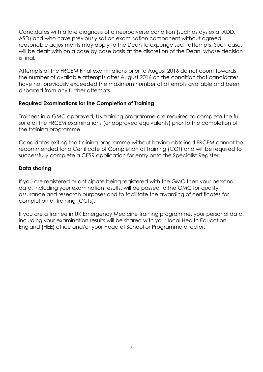Candidates with a late diagnosis of a neurodiverse condition (such as dyslexia, ADD, ASD) and who have previously sat an examination component without agreed reasonable adjustments may apply to the Dean to expunge such attempts. Such cases will be dealt with on a case by case basis at the discretion of the Dean, whose decision is final.

Attempts at the FRCEM Final examinations prior to August 2016 do not count towards the number of available attempts after August 2016 on the condition that candidates have not previously exceeded the maximum number of attempts available and been disbarred from any further attempts.

### <span id="page-7-0"></span>**Required Examinations for the Completion of Training**

Trainees in a GMC approved, UK training programme are required to complete the full suite of the FRCEM examinations (or approved equivalents) prior to the completion of the training programme.

Candidates exiting the training programme without having obtained FRCEM cannot be recommended for a Certificate of Completion of Training (CCT) and will be required to successfully complete a CESR application for entry onto the Specialist Register.

### **Data sharing**

If you are registered or anticipate being registered with the GMC then your personal data, including your examination results, will be passed to the GMC for quality assurance and research purposes and to facilitate the awarding of certificates for completion of training (CCTs).

If you are a trainee in UK Emergency Medicine training programme, your personal data, including your examination results will be shared with your local Health Education England (HEE) office and/or your Head of School or Programme director.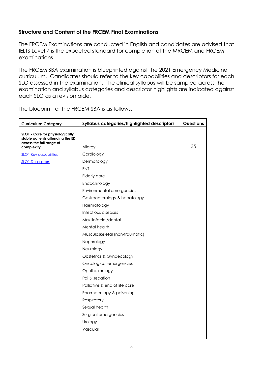## <span id="page-8-0"></span>**Structure and Content of the FRCEM Final Examinations**

The FRCEM Examinations are conducted in English and candidates are advised that IELTS Level 7 is the expected standard for completion of the MRCEM and FRCEM examinations.

The FRCEM SBA examination is blueprinted against the 2021 Emergency Medicine curriculum. Candidates should refer to the key capabilities and descriptors for each SLO assessed in the examination. The clinical syllabus will be sampled across the examination and syllabus categories and descriptor highlights are indicated against each SLO as a revision aide.

The blueprint for the FRCEM SBA is as follows:

| <b>Curriculum Category</b>                                                                                    | Syllabus categories/highlighted descriptors | Questions |
|---------------------------------------------------------------------------------------------------------------|---------------------------------------------|-----------|
| SLO1 - Care for physiologically<br>stable patients attending the ED<br>across the full range of<br>complexity | Allergy                                     | 35        |
| <b>SLO1 Key capabilities</b>                                                                                  | Cardiology                                  |           |
| <b>SLO1 Descriptors</b>                                                                                       | Dermatology                                 |           |
|                                                                                                               | <b>ENT</b>                                  |           |
|                                                                                                               | Elderly care                                |           |
|                                                                                                               | Endocrinology                               |           |
|                                                                                                               | Environmental emergencies                   |           |
|                                                                                                               | Gastroenterology & hepatology               |           |
|                                                                                                               | Haematology                                 |           |
|                                                                                                               | Infectious diseases                         |           |
|                                                                                                               | Maxillofacial/dental                        |           |
|                                                                                                               | Mental health                               |           |
|                                                                                                               | Musculoskeletal (non-traumatic)             |           |
|                                                                                                               | Nephrology                                  |           |
|                                                                                                               | Neurology                                   |           |
|                                                                                                               | <b>Obstetrics &amp; Gynaecology</b>         |           |
|                                                                                                               | Oncological emergencies                     |           |
|                                                                                                               | Ophthalmology                               |           |
|                                                                                                               | Pai & sedation                              |           |
|                                                                                                               | Palliative & end of life care               |           |
|                                                                                                               | Pharmacology & poisoning                    |           |
|                                                                                                               | Respiratory                                 |           |
|                                                                                                               | Sexual health                               |           |
|                                                                                                               | Surgical emergencies                        |           |
|                                                                                                               | Urology                                     |           |
|                                                                                                               | Vascular                                    |           |
|                                                                                                               |                                             |           |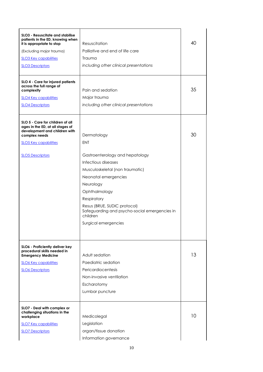| SLO3 - Resuscitate and stabilise<br>patients in the ED, knowing when<br>it is appropriate to stop<br>(Excluding major trauma)<br><b>SLO3 Key capabilities</b><br><b>SLO3 Descriptors</b> | Resuscitation<br>Palliative and end of life care<br>Trauma<br>including other clinical presentations                                                                                                                                                                                                             | 40 |
|------------------------------------------------------------------------------------------------------------------------------------------------------------------------------------------|------------------------------------------------------------------------------------------------------------------------------------------------------------------------------------------------------------------------------------------------------------------------------------------------------------------|----|
| SLO 4 - Care for injured patients<br>across the full range of<br>complexity<br><b>SLO4 Key capabilities</b><br><b>SLO4 Descriptors</b>                                                   | Pain and sedation<br>Major trauma<br>including other clinical presentations                                                                                                                                                                                                                                      | 35 |
| SLO 5 - Care for children of all<br>ages in the ED, at all stages of<br>development and children with<br>complex needs<br><b>SLO5 Key capabilities</b><br><b>SLO5 Descriptors</b>        | Dermatology<br><b>ENT</b><br>Gastroenterology and hepatology<br>Infectious diseases<br>Musculoskeletal (non traumatic)<br>Neonatal emergencies<br>Neurology<br>Ophthalmology<br>Respiratory<br>Resus (BRUE, SUDIC protocol)<br>Safeguarding and psycho-social emergencies in<br>children<br>Surgical emergencies | 30 |
| SLO6 - Proficiently deliver key<br>procedural skills needed in<br><b>Emergency Medicine</b><br><b>SLO6 Key capabilities</b><br><b>SLO6 Descriptors</b>                                   | Adult sedation<br>Paediatric sedation<br>Pericardiocentesis<br>Non-invasive ventilation<br>Escharotomy<br>Lumbar puncture                                                                                                                                                                                        | 13 |
| SLO7 - Deal with complex or<br>challenging situations in the<br>workplace<br><b>SLO7 Key capabilities</b><br><b>SLO7 Descriptors</b>                                                     | Medicolegal<br>Legislation<br>organ/tissue donation<br>Information governance                                                                                                                                                                                                                                    | 10 |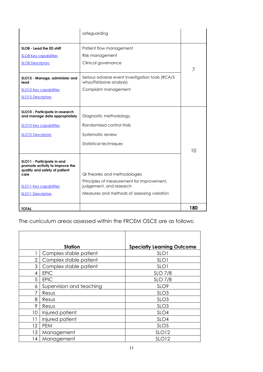|                                                                                                                                                                                            | safeguarding                                                                                                                                                             |     |
|--------------------------------------------------------------------------------------------------------------------------------------------------------------------------------------------|--------------------------------------------------------------------------------------------------------------------------------------------------------------------------|-----|
| SLO8 - Lead the ED shift<br><b>SLO8 Key capabilities</b><br><b>SLO8 Descriptors</b><br>SLO12 - Manage, administer and<br>lead<br><b>SLO12 Key capabilities</b><br><b>SLO12 Descriptors</b> | Patient flow management<br>Risk management<br>Clinical governance<br>Serious adverse event investigation tools (RCA/5<br>whys/Fishbone analysis)<br>Complaint management | 7   |
| SLO10 - Participate in research<br>and manage data appropriately<br><b>SLO10 Key capabilities</b><br><b>SLO10 Descriptors</b>                                                              | Diagnostic methodology<br>Randomised control trials<br>Systematic review<br>Statistical techniques                                                                       | 10  |
| SLO11 - Participate in and<br>promote activity to improve the<br>quality and safety of patient<br>care<br><b>SLO11 Key capabilities</b><br><b>SLO11 Descriptors</b>                        | QI theories and methodologies<br>Principles of measurement for improvement,<br>judgement, and research<br>Measures and methods of assessing variation                    |     |
| <b>TOTAL</b>                                                                                                                                                                               |                                                                                                                                                                          | 180 |

The curriculum areas assessed within the FRCEM OSCE are as follows:

|    | <b>Station</b>           | <b>Specialty Learning Outcome</b> |
|----|--------------------------|-----------------------------------|
|    | Complex stable patient   | SLO <sub>1</sub>                  |
| 2  | Complex stable patient   | SLO1                              |
| 3  | Complex stable patient   | SLO <sub>1</sub>                  |
| 4  | <b>EPIC</b>              | <b>SLO 7/8</b>                    |
| 5  | <b>EPIC</b>              | <b>SLO 7/8</b>                    |
| 6  | Supervision and teaching | SLO <sub>9</sub>                  |
|    | Resus                    | SLO <sub>3</sub>                  |
| 8  | Resus                    | SLO <sub>3</sub>                  |
| 9  | Resus                    | SLO <sub>3</sub>                  |
| 10 | Injured patient          | SLO <sub>4</sub>                  |
| 11 | Injured patient          | SLO4                              |
| 12 | <b>PEM</b>               | SLO <sub>5</sub>                  |
| 13 | Management               | <b>SLO12</b>                      |
| 14 | Management               | <b>SLO12</b>                      |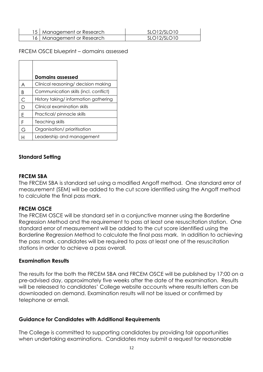| 15   Management or Research | SLO12/SLO10 |
|-----------------------------|-------------|
| 16   Management or Research | SLO12/SLO10 |

#### FRCEM OSCE blueprint – domains assessed

|              | <b>Domains assessed</b>               |
|--------------|---------------------------------------|
| A            | Clinical reasoning/ decision making   |
| B            | Communication skills (incl. conflict) |
| $\mathsf{C}$ | History taking/information gathering  |
| D            | Clinical examination skills           |
| E            | Practical/ pinnacle skills            |
| F            | Teaching skills                       |
| G            | Organisation/prioritisation           |
|              | Leadership and management             |

#### <span id="page-11-0"></span>**Standard Setting**

#### **FRCEM SBA**

The FRCEM SBA is standard set using a modified Angoff method. One standard error of measurement (SEM) will be added to the cut score identified using the Angoff method to calculate the final pass mark.

#### **FRCEM OSCE**

The FRCEM OSCE will be standard set in a conjunctive manner using the Borderline Regression Method and the requirement to pass at least one resuscitation station. One standard error of measurement will be added to the cut score identified using the Borderline Regression Method to calculate the final pass mark. In addition to achieving the pass mark, candidates will be required to pass at least one of the resuscitation stations in order to achieve a pass overall.

#### <span id="page-11-1"></span>**Examination Results**

The results for the both the FRCEM SBA and FRCEM OSCE will be published by 17:00 on a pre-advised day, approximately five weeks after the date of the examination. Results will be released to candidates' College website accounts where results letters can be downloaded on demand. Examination results will not be issued or confirmed by telephone or email.

#### <span id="page-11-2"></span>**Guidance for Candidates with Additional Requirements**

The College is committed to supporting candidates by providing fair opportunities when undertaking examinations. Candidates may submit a request for reasonable